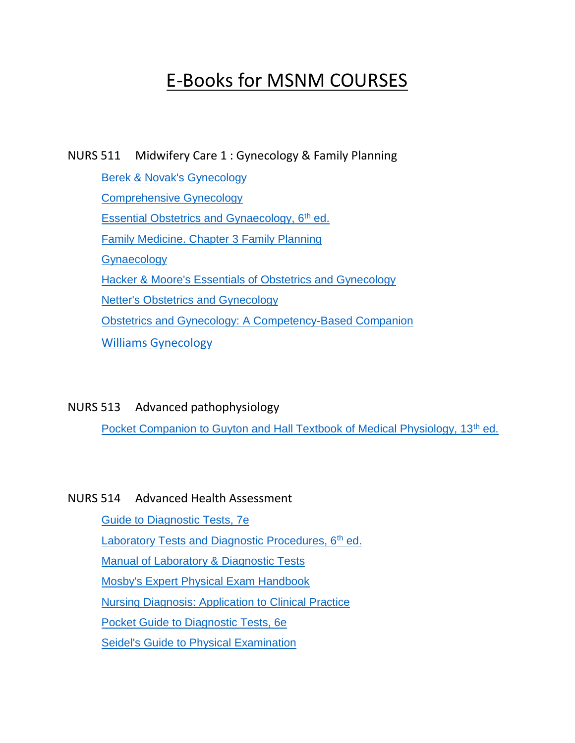# E-Books for MSNM COURSES

NURS 511 Midwifery Care 1 : Gynecology & Family Planning

[Berek & Novak's Gynecology](http://ovidsp.ovid.com/ovidweb.cgi?T=JS&NEWS=n&CSC=Y&PAGE=booktext&D=books&AN=00139966$&XPATH=/PG(0)) [Comprehensive Gynecology](https://www.clinicalkey.com/dura/browse/bookChapter/3-s2.0-C20130004094) [Essential Obstetrics and Gynaecology, 6](https://www.clinicalkey.com/#!/browse/book/3-s2.0-C20170030744)<sup>th</sup> ed. [Family Medicine. Chapter 3 Family Planning](https://accessmedicine.mhmedical.com/content.aspx?sectionid=206776469&bookid=2547&Resultclick=2) **[Gynaecology](https://www.clinicalkey.com/dura/browse/bookChapter/3-s2.0-C20090513025)** [Hacker & Moore's Essentials of Obstetrics and Gynecology](https://www.clinicalkey.com/dura/browse/bookChapter/3-s2.0-C20120069153) [Netter's Obstetrics and Gynecology](https://www.clinicalkey.com/dura/browse/bookChapter/3-s2.0-C20090598388) [Obstetrics and Gynecology: A Competency-Based Companion](https://www.clinicalkey.com/dura/browse/bookChapter/3-s2.0-B9781416048961X00019) [Williams Gynecology](https://accessmedicine.mhmedical.com/book.aspx?bookid=2658)

NURS 513 Advanced pathophysiology

[Pocket Companion to Guyton and Hall Textbook of Medical Physiology, 13](https://www.clinicalkey.com/#!/browse/book/3-s2.0-C20120065143)<sup>th</sup> ed.

#### NURS 514 Advanced Health Assessment

[Guide to Diagnostic Tests, 7e](https://accessmedicine.mhmedical.com/book.aspx?bookid=2032) [Laboratory Tests and Diagnostic Procedures, 6](https://www.clinicalkey.com/#!/browse/book/3-s2.0-C20100683313)<sup>th</sup> ed. [Manual of Laboratory & Diagnostic Tests](http://ovidsp.ovid.com/ovidweb.cgi?T=JS&NEWS=n&CSC=Y&PAGE=booktext&D=books&AN=00140036$&XPATH=/PG(0)) [Mosby's Expert Physical Exam Handbook](https://www.clinicalkey.com/nursing/dura/browse/bookChapter/3-s2.0-B9780323057912X00016) [Nursing Diagnosis: Application to Clinical Practice](http://ovidsp.ovid.com/ovidweb.cgi?T=JS&NEWS=n&CSC=Y&PAGE=booktext&D=books&AN=00139968$&XPATH=/PG(0)) [Pocket Guide to Diagnostic Tests, 6e](https://accessmedicine.mhmedical.com/book.aspx?bookid=503) [Seidel's Guide to Physical Examination](https://www.clinicalkey.com/nursing/dura/browse/bookChapter/3-s2.0-C20120012203)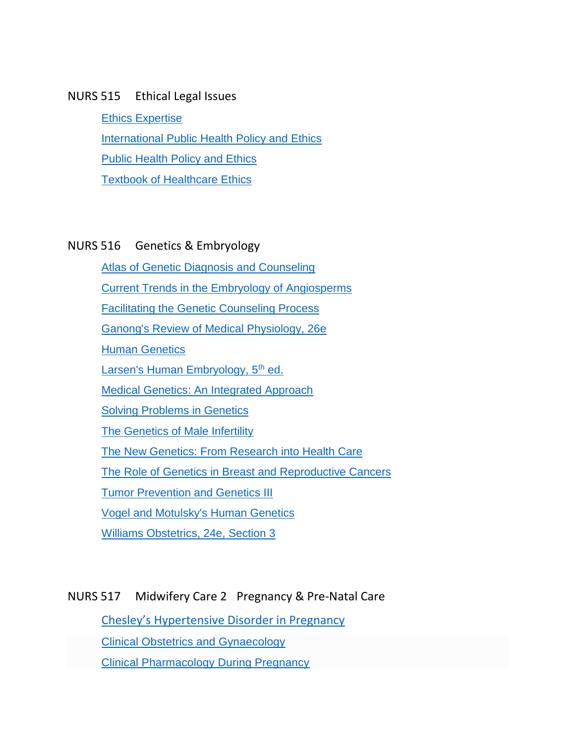#### NURS 515 Ethical Legal Issues

[Ethics Expertise](http://link.springer.com/10.1007/1-4020-3820-8) [International Public Health Policy and Ethics](http://link.springer.com/10.1007/978-1-4020-8617-5) **[Public Health Policy and Ethics](http://link.springer.com/10.1007/1-4020-2207-7) [Textbook of Healthcare Ethics](http://link.springer.com/10.1007/1-4020-2252-2)** 

#### NURS 516 Genetics & Embryology

**[Atlas of Genetic Diagnosis and Counseling](http://link.springer.com/10.1007/978-1-60327-161-5)** [Current Trends in the Embryology of Angiosperms](http://link.springer.com/10.1007/978-94-017-1203-3) [Facilitating the Genetic Counseling Process](http://link.springer.com/10.1007/b97465) [Ganong's Review of Medical Physiology, 26e](https://accessmedicine.mhmedical.com/book.aspx?bookid=2525) **[Human Genetics](http://link.springer.com/10.1007/978-3-662-03356-2)** [Larsen's Human Embryology, 5](https://www.clinicalkey.com/#!/browse/book/3-s2.0-C20100689383)<sup>th</sup> ed. [Medical Genetics: An Integrated Approach](https://accessmedicine.mhmedical.com/book.aspx?bookid=2247) [Solving Problems in Genetics](http://link.springer.com/10.1007/978-1-4613-0205-6) [The Genetics of Male Infertility](http://link.springer.com/10.1007/978-1-59745-176-5) [The New Genetics: From Research into Health Care](http://link.springer.com/10.1007/978-3-642-58486-2) [The Role of Genetics in Breast and Reproductive Cancers](http://link.springer.com/10.1007/978-1-4419-0477-5) [Tumor Prevention and Genetics III](http://link.springer.com/10.1007/b138402) [Vogel and Motulsky's Human Genetics](http://link.springer.com/10.1007/978-3-540-37654-5)

[Williams Obstetrics, 24e, Section 3](https://accessmedicine.mhmedical.com/book.aspx?bookid=1057#59789140)

### NURS 517 Midwifery Care 2 Pregnancy & Pre-Natal Care

[Chesley's Hypertensive Disorder in Pregnancy](https://www.clinicalkey.com/dura/browse/bookChapter/3-s2.0-C20120026622)

[Clinical Obstetrics and Gynaecology](https://link.springer.com/book/10.1007%2F978-3-642-85919-9)

[Clinical Pharmacology During Pregnancy](https://www.clinicalkey.com/dura/browse/bookChapter/3-s2.0-C2010067194X)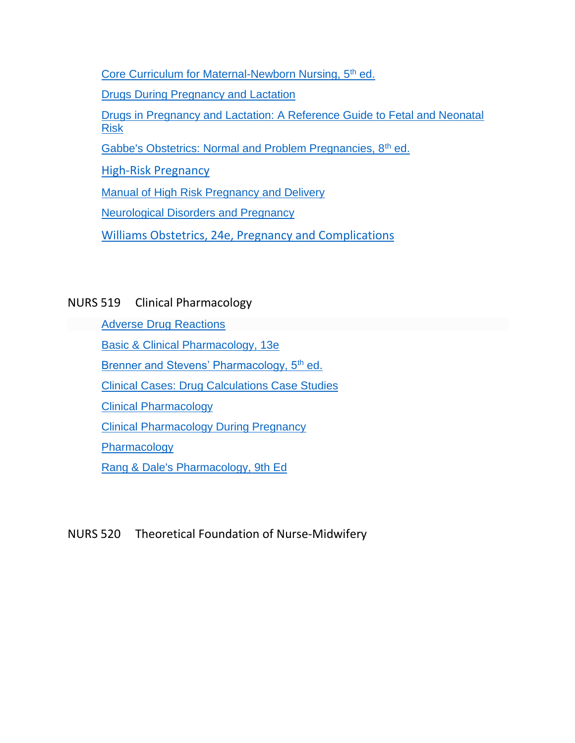[Core Curriculum for Maternal-Newborn Nursing, 5](https://www.clinicalkey.com/nursing/#!/browse/book/3-s2.0-C20130069605)<sup>th</sup> ed.

[Drugs During Pregnancy and Lactation](https://www.clinicalkey.com/dura/browse/bookChapter/3-s2.0-C20110091007)

Drugs in [Pregnancy and Lactation: A Reference Guide to Fetal and Neonatal](http://ovidsp.ovid.com/ovidweb.cgi?T=JS&NEWS=n&CSC=Y&PAGE=booktext&D=books&AN=01337158$&XPATH=/PG(0))  [Risk](http://ovidsp.ovid.com/ovidweb.cgi?T=JS&NEWS=n&CSC=Y&PAGE=booktext&D=books&AN=01337158$&XPATH=/PG(0))

[Gabbe's Obstetrics: Normal and Problem Pregnancies, 8](https://www.clinicalkey.com/#!/browse/book/3-s2.0-C20170020839)<sup>th</sup> ed.

[High-Risk Pregnancy](https://www.clinicalkey.com/dura/browse/bookChapter/3-s2.0-C20090464432)

[Manual of High Risk Pregnancy and Delivery](https://www.clinicalkey.com/nursing/dura/browse/bookChapter/3-s2.0-C20090450955)

[Neurological Disorders and Pregnancy](https://www.clinicalkey.com/dura/browse/bookChapter/3-s2.0-C20100656604)

[Williams Obstetrics, 24e, Pregnancy and Complications](https://accessmedicine.mhmedical.com/book.aspx?bookid=1057#59789156)

# NURS 519 Clinical Pharmacology

[Adverse Drug Reactions](https://link.springer.com/book/10.1007%2F978-3-642-00663-0)

[Basic & Clinical Pharmacology, 13e](https://accesspharmacy.mhmedical.com/book.aspx?bookid=1193)

[Brenner and Stevens' Pharmacology, 5](https://www.clinicalkey.com/#!/browse/book/3-s2.0-C20140033606)<sup>th</sup> ed.

[Clinical Cases: Drug Calculations Case Studies](https://www.clinicalkey.com/nursing/#!/browse/book/3-s2.0-C20150006360)

[Clinical Pharmacology](https://www.clinicalkey.com/dura/browse/bookChapter/3-s2.0-C20090474403)

[Clinical Pharmacology During Pregnancy](https://www.clinicalkey.com/dura/browse/bookChapter/3-s2.0-C2010067194X)

**[Pharmacology](https://www.clinicalkey.com/dura/browse/bookChapter/3-s2.0-C20100654848)** 

[Rang & Dale's Pharmacology, 9th Ed](https://www.clinicalkey.com/#!/browse/book/3-s2.0-C2016004202X)

### NURS 520 Theoretical Foundation of Nurse-Midwifery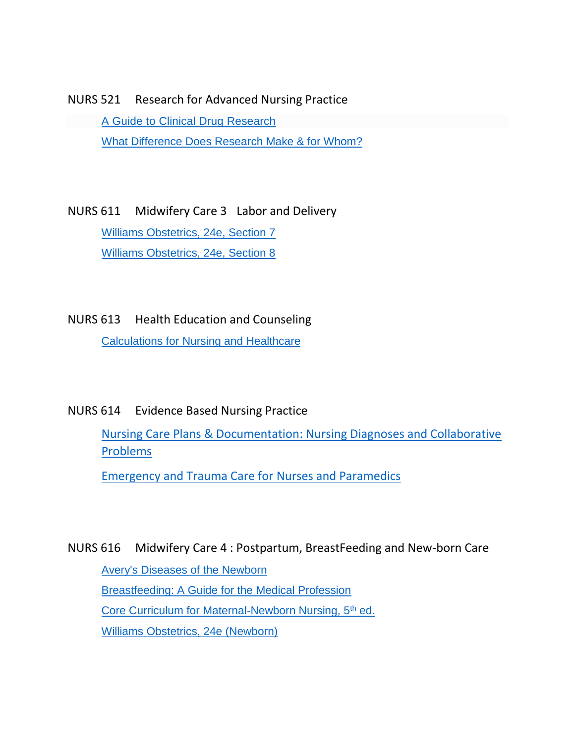NURS 521 Research for Advanced Nursing Practice [A Guide to Clinical Drug Research](https://link.springer.com/book/10.1007%2F978-94-007-0878-5)

[What Difference Does Research Make & for Whom?](http://search.ebscohost.com/direct.asp?db=eue&jid=8TMV&scope=site)

NURS 611 Midwifery Care 3 Labor and Delivery [Williams Obstetrics, 24e, Section 7](https://accessmedicine.mhmedical.com/book.aspx?bookid=1057#59789160) [Williams Obstetrics, 24e, Section 8](https://accessmedicine.mhmedical.com/book.aspx?bookid=1057#59789167)

NURS 613 Health Education and Counseling [Calculations for Nursing and Healthcare](http://link.springer.com/10.1007/978-0-230-58021-3)

NURS 614 Evidence Based Nursing Practice

[Nursing Care Plans & Documentation: Nursing Diagnoses and Collaborative](http://ovidsp.ovid.com/ovidweb.cgi?T=JS&NEWS=n&CSC=Y&PAGE=booktext&D=books&AN=00146941$&XPATH=/PG(0))  [Problems](http://ovidsp.ovid.com/ovidweb.cgi?T=JS&NEWS=n&CSC=Y&PAGE=booktext&D=books&AN=00146941$&XPATH=/PG(0))

[Emergency and Trauma Care for Nurses and Paramedics](https://www.clinicalkey.com/nursing/dura/browse/bookChapter/3-s2.0-C20140016516)

NURS 616 Midwifery Care 4 : Postpartum, BreastFeeding and New-born Care [Avery's Diseases of the Newborn](https://www.clinicalkey.com/dura/browse/bookChapter/3-s2.0-C20090520727) [Breastfeeding: A Guide for the Medical Profession](https://www.clinicalkey.com/nursing/dura/browse/bookChapter/3-s2.0-C20140021363) [Core Curriculum for Maternal-Newborn Nursing, 5](https://www.clinicalkey.com/nursing/#!/browse/book/3-s2.0-C20130069605)<sup>th</sup> ed. [Williams Obstetrics, 24e \(Newborn\)](https://accessmedicine.mhmedical.com/book.aspx?bookid=1057#59789173)